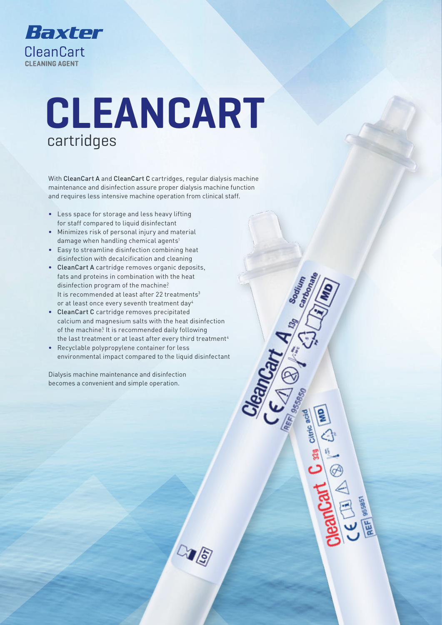

# **CLEANCART** cartridges

With CleanCart A and CleanCart C cartridges, regular dialysis machine maintenance and disinfection assure proper dialysis machine function and requires less intensive machine operation from clinical staff.

- Less space for storage and less heavy lifting for staff compared to liquid disinfectant
- Minimizes risk of personal injury and material damage when handling chemical agents<sup>1</sup>
- Easy to streamline disinfection combining heat disinfection with decalcification and cleaning
- CleanCart A cartridge removes organic deposits, fats and proteins in combination with the heat disinfection program of the machine? It is recommended at least after 22 treatments<sup>3</sup> or at least once every seventh treatment day4
- CleanCart C cartridge removes precipitated calcium and magnesium salts with the heat disinfection of the machine<sup>5</sup> It is recommended daily following the last treatment or at least after every third treatment<sup>4</sup>
- Recyclable polypropylene container for less environmental impact compared to the liquid disinfectant

<u>(S</u>

Dialysis machine maintenance and disinfection becomes a convenient and simple operation.